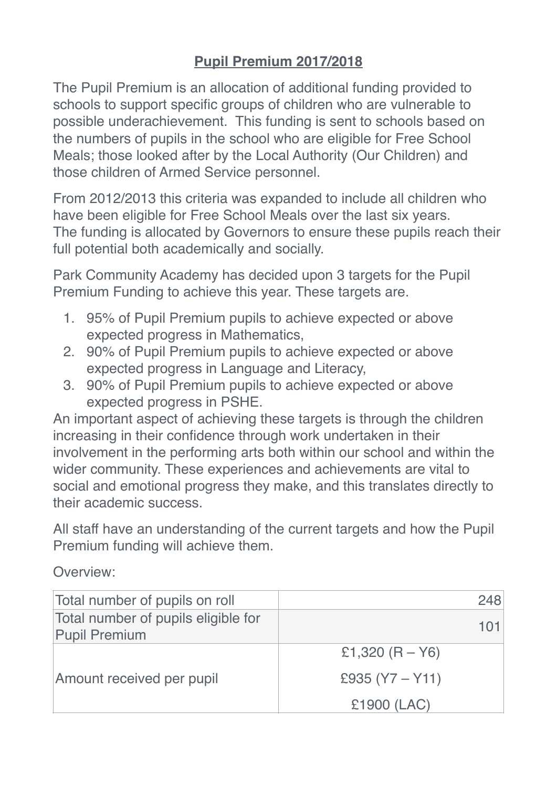## **Pupil Premium 2017/2018**

The Pupil Premium is an allocation of additional funding provided to schools to support specific groups of children who are vulnerable to possible underachievement. This funding is sent to schools based on the numbers of pupils in the school who are eligible for Free School Meals; those looked after by the Local Authority (Our Children) and those children of Armed Service personnel.

From 2012/2013 this criteria was expanded to include all children who have been eligible for Free School Meals over the last six years. The funding is allocated by Governors to ensure these pupils reach their full potential both academically and socially.

Park Community Academy has decided upon 3 targets for the Pupil Premium Funding to achieve this year. These targets are.

- 1. 95% of Pupil Premium pupils to achieve expected or above expected progress in Mathematics,
- 2. 90% of Pupil Premium pupils to achieve expected or above expected progress in Language and Literacy,
- 3. 90% of Pupil Premium pupils to achieve expected or above expected progress in PSHE.

An important aspect of achieving these targets is through the children increasing in their confidence through work undertaken in their involvement in the performing arts both within our school and within the wider community. These experiences and achievements are vital to social and emotional progress they make, and this translates directly to their academic success.

All staff have an understanding of the current targets and how the Pupil Premium funding will achieve them.

Overview:

| Total number of pupils on roll                              | 248               |
|-------------------------------------------------------------|-------------------|
| Total number of pupils eligible for<br><b>Pupil Premium</b> | 101               |
| Amount received per pupil                                   | £1,320 $(R - Y6)$ |
|                                                             | £935 $(Y7 - Y11)$ |
|                                                             | £1900 (LAC)       |